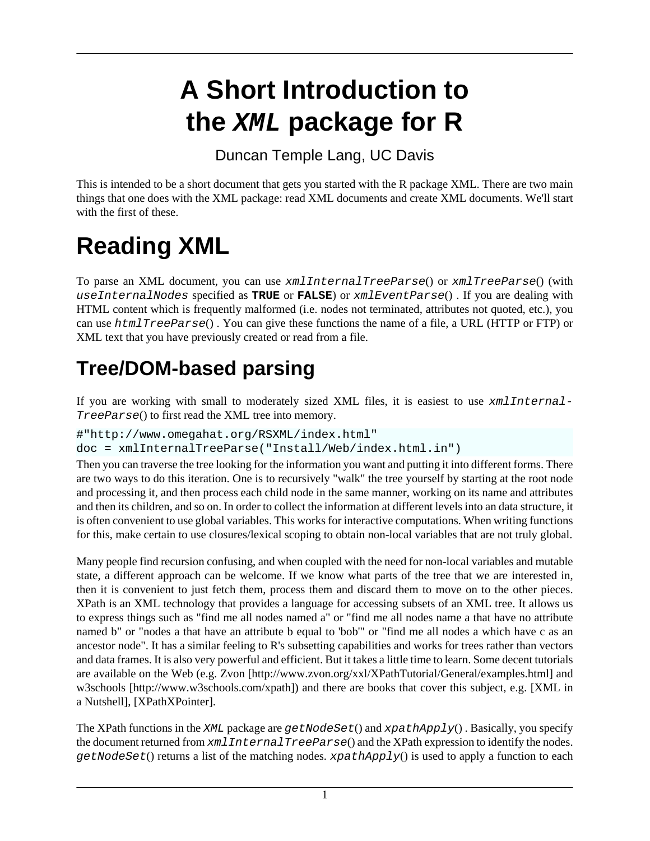## **A Short Introduction to the XML package for R**

Duncan Temple Lang, UC Davis

This is intended to be a short document that gets you started with the R package [XML](http://www.omegahat.org/XML). There are two main things that one does with the [XML](http://www.omegahat.org/XML) package: read XML documents and create XML documents. We'll start with the first of these.

# **Reading XML**

To parse an XML document, you can use xmlInternalTreeParse() or xmlTreeParse() (with useInternalNodes specified as **TRUE** or **FALSE**) or xmlEventParse() . If you are dealing with HTML content which is frequently malformed (i.e. nodes not terminated, attributes not quoted, etc.), you can use htmlTreeParse() . You can give these functions the name of a file, a URL (HTTP or FTP) or XML text that you have previously created or read from a file.

#### **Tree/DOM-based parsing**

If you are working with small to moderately sized XML files, it is easiest to use xmlInternal-TreeParse() to first read the XML tree into memory.

```
#"http://www.omegahat.org/RSXML/index.html"
```

```
doc = xmlInternalTreeParse("Install/Web/index.html.in")
```
Then you can traverse the tree looking for the information you want and putting it into different forms. There are two ways to do this iteration. One is to recursively "walk" the tree yourself by starting at the root node and processing it, and then process each child node in the same manner, working on its name and attributes and then its children, and so on. In order to collect the information at different levels into an data structure, it is often convenient to use global variables. This works for interactive computations. When writing functions for this, make certain to use closures/lexical scoping to obtain non-local variables that are not truly global.

Many people find recursion confusing, and when coupled with the need for non-local variables and mutable state, a different approach can be welcome. If we know what parts of the tree that we are interested in, then it is convenient to just fetch them, process them and discard them to move on to the other pieces. XPath is an XML technology that provides a language for accessing subsets of an XML tree. It allows us to express things such as "find me all nodes named a" or "find me all nodes name a that have no attribute named b" or "nodes a that have an attribute b equal to 'bob'" or "find me all nodes a which have c as an ancestor node". It has a similar feeling to R's subsetting capabilities and works for trees rather than vectors and data frames. It is also very powerful and efficient. But it takes a little time to learn. Some decent tutorials are available on the Web (e.g. [Zvon \[http://www.zvon.org/xxl/XPathTutorial/General/examples.html\]](http://www.zvon.org/xxl/XPathTutorial/General/examples.html) and [w3schools](http://www.w3schools.com/xpath) [<http://www.w3schools.com/xpath>]) and there are books that cover this subject, e.g. [[XML in](#page-3-0) [a Nutshell\]](#page-3-0), [[XPathXPointer\]](#page-3-0).

The XPath functions in the XML package are  $getNodeSet()$  and  $xpathApply()$ . Basically, you specify the document returned from  $x$ mlInternalTreeParse() and the XPath expression to identify the nodes.  $getNodeSet()$  returns a list of the matching nodes.  $xpathApply()$  is used to apply a function to each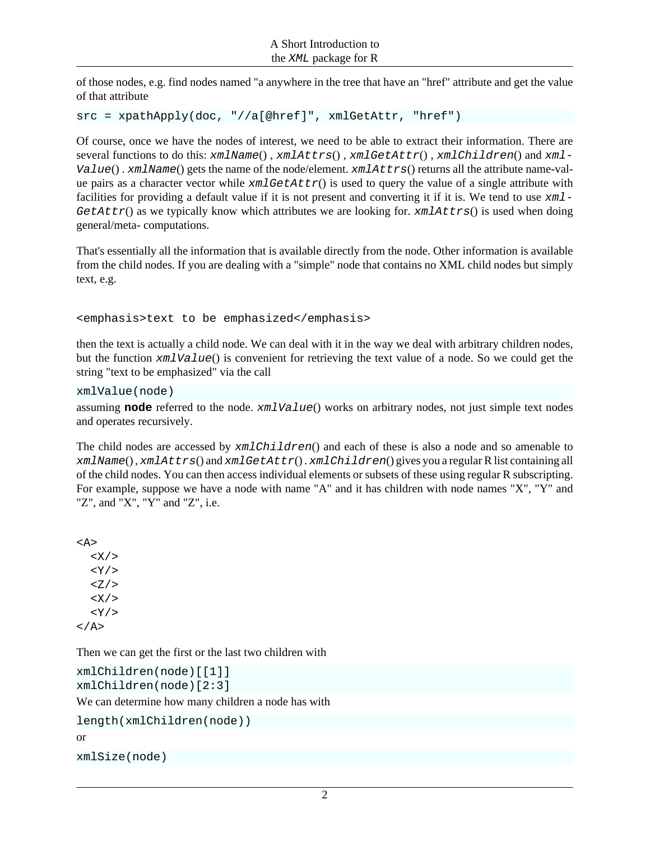<span id="page-1-0"></span>of those nodes, e.g. find nodes named "a anywhere in the tree that have an "href" attribute and get the value of that attribute

```
src = xpathApply(doc, "//a[@href]", xmlGetAttr, "href")
```
Of course, once we have the nodes of interest, we need to be able to extract their information. There are several functions to do this: xmlName(), xmlAttrs(), xmlGetAttr(), xmlChildren() and xml- $Value()$ . xmlName() gets the name of the node/element. xmlAttrs() returns all the attribute name-value pairs as a character vector while  $xmlGetAttr()$  is used to query the value of a single attribute with facilities for providing a default value if it is not present and converting it if it is. We tend to use  $xm_1$ -GetAttr() as we typically know which attributes we are looking for.  $xmlAttrs()$  is used when doing general/meta- computations.

That's essentially all the information that is available directly from the node. Other information is available from the child nodes. If you are dealing with a "simple" node that contains no XML child nodes but simply text, e.g.

<emphasis>text to be emphasized</emphasis>

then the text is actually a child node. We can deal with it in the way we deal with arbitrary children nodes, but the function xmlValue() is convenient for retrieving the text value of a node. So we could get the string "text to be emphasized" via the call

```
xmlValue(node)
```
assuming **node** referred to the node. xmlValue() works on arbitrary nodes, not just simple text nodes and operates recursively.

The child nodes are accessed by xmlChildren() and each of these is also a node and so amenable to xmlName(), xmlAttrs() and xmlGetAttr(). xmlChildren() gives you a regular R list containing all of the child nodes. You can then access individual elements or subsets of these using regular R subscripting. For example, suppose we have a node with name "A" and it has children with node names "X", "Y" and "Z", and "X", "Y" and "Z", i.e.

<A>  $\langle X \rangle$  $<$  Y  $/$  >  $Z/$  $<\!\mathrm{X}/\!\!>$  $<$  Y  $/$  > </A>

Then we can get the first or the last two children with

```
xmlChildren(node)[[1]]
xmlChildren(node)[2:3]
We can determine how many children a node has with
length(xmlChildren(node))
or
```
xmlSize(node)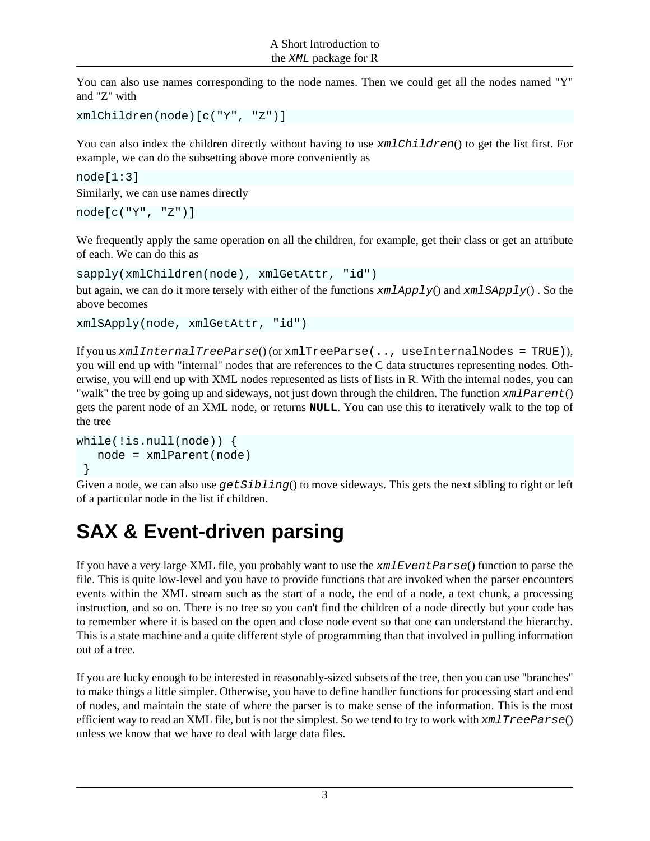You can also use names corresponding to the node names. Then we could get all the nodes named "Y" and "Z" with

```
xmlChildren(node)[c("Y", "Z")]
```
You can also index the children directly without having to use xmlChildren() to get the list first. For example, we can do the subsetting above more conveniently as

 $node[1:3]$ Similarly, we can use names directly

```
node[c("Y", "Z")]
```
We frequently apply the same operation on all the children, for example, get their class or get an attribute of each. We can do this as

```
sapply(xmlChildren(node), xmlGetAttr, "id")
```
but again, we can do it more tersely with either of the functions  $xmlApply()$  and  $xmlSApply()$ . So the above becomes

```
xmlSApply(node, xmlGetAttr, "id")
```
If you us  $xmlInternalTreeParse()$  (or  $xmlTreeParse()$ ,, useInternalNodes = TRUE), you will end up with "internal" nodes that are references to the C data structures representing nodes. Otherwise, you will end up with XML nodes represented as lists of lists in R. With the internal nodes, you can "walk" the tree by going up and sideways, not just down through the children. The function  $xmlParent()$ gets the parent node of an XML node, or returns **NULL**. You can use this to iteratively walk to the top of the tree

```
while(!is.null(node)) {
    node = xmlParent(node)
 }
```
Given a node, we can also use  $getSibling()$  to move sideways. This gets the next sibling to right or left of a particular node in the list if children.

#### **SAX & Event-driven parsing**

If you have a very large XML file, you probably want to use the xmlEventParse() function to parse the file. This is quite low-level and you have to provide functions that are invoked when the parser encounters events within the XML stream such as the start of a node, the end of a node, a text chunk, a processing instruction, and so on. There is no tree so you can't find the children of a node directly but your code has to remember where it is based on the open and close node event so that one can understand the hierarchy. This is a state machine and a quite different style of programming than that involved in pulling information out of a tree.

If you are lucky enough to be interested in reasonably-sized subsets of the tree, then you can use "branches" to make things a little simpler. Otherwise, you have to define handler functions for processing start and end of nodes, and maintain the state of where the parser is to make sense of the information. This is the most efficient way to read an XML file, but is not the simplest. So we tend to try to work with  $xmlTreeParse()$ unless we know that we have to deal with large data files.